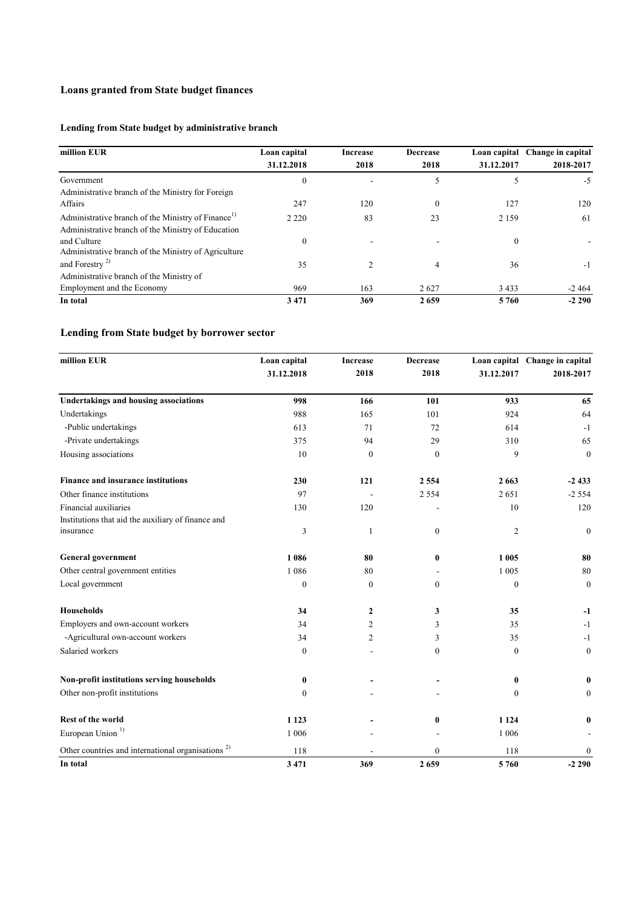## **Loans granted from State budget finances**

## **Lending from State budget by administrative branch**

| million EUR                                                    | Loan capital<br>31.12.2018 | Increase<br>2018 | <b>Decrease</b><br>2018 | 31.12.2017 | Loan capital Change in capital<br>2018-2017 |
|----------------------------------------------------------------|----------------------------|------------------|-------------------------|------------|---------------------------------------------|
|                                                                |                            |                  |                         |            |                                             |
| Administrative branch of the Ministry for Foreign              |                            |                  |                         |            |                                             |
| Affairs                                                        | 247                        | 120              | $\theta$                | 127        | 120                                         |
| Administrative branch of the Ministry of Finance <sup>1)</sup> | 2 2 2 0                    | 83               | 23                      | 2 1 5 9    | 61                                          |
| Administrative branch of the Ministry of Education             |                            |                  |                         |            |                                             |
| and Culture                                                    | $\theta$                   |                  |                         | $\theta$   |                                             |
| Administrative branch of the Ministry of Agriculture           |                            |                  |                         |            |                                             |
| and Forestry <sup>2)</sup>                                     | 35                         | $\overline{c}$   | 4                       | 36         | $-1$                                        |
| Administrative branch of the Ministry of                       |                            |                  |                         |            |                                             |
| Employment and the Economy                                     | 969                        | 163              | 2627                    | 3 4 3 3    | $-2464$                                     |
| In total                                                       | 3 4 7 1                    | 369              | 2659                    | 5760       | $-2290$                                     |

## **Lending from State budget by borrower sector**

| million EUR                                                   | Loan capital     | <b>Increase</b> | <b>Decrease</b> |                | Loan capital Change in capital |
|---------------------------------------------------------------|------------------|-----------------|-----------------|----------------|--------------------------------|
|                                                               | 31.12.2018       | 2018            | 2018            | 31.12.2017     | 2018-2017                      |
| <b>Undertakings and housing associations</b>                  | 998              | 166             | 101             | 933            | 65                             |
| Undertakings                                                  | 988              | 165             | 101             | 924            | 64                             |
| -Public undertakings                                          | 613              | 71              | 72              | 614            | $-1$                           |
| -Private undertakings                                         | 375              | 94              | 29              | 310            | 65                             |
| Housing associations                                          | 10               | $\mathbf{0}$    | $\theta$        | 9              | $\boldsymbol{0}$               |
| <b>Finance and insurance institutions</b>                     | 230              | 121             | 2 5 5 4         | 2 6 6 3        | $-2433$                        |
| Other finance institutions                                    | 97               |                 | 2 5 5 4         | 2651           | $-2554$                        |
| Financial auxiliaries                                         | 130              | 120             |                 | 10             | 120                            |
| Institutions that aid the auxiliary of finance and            |                  |                 |                 |                |                                |
| insurance                                                     | 3                | 1               | $\mathbf{0}$    | 2              | $\boldsymbol{0}$               |
| General government                                            | 1 0 8 6          | 80              | $\bf{0}$        | 1 0 0 5        | 80                             |
| Other central government entities                             | 1 0 8 6          | 80              |                 | 1 0 0 5        | 80                             |
| Local government                                              | $\boldsymbol{0}$ | $\mathbf{0}$    | $\mathbf{0}$    | $\mathbf{0}$   | $\boldsymbol{0}$               |
| <b>Households</b>                                             | 34               | 2               | 3               | 35             | $-1$                           |
| Employers and own-account workers                             | 34               | $\mathfrak{2}$  | 3               | 35             | $-1$                           |
| -Agricultural own-account workers                             | 34               | $\overline{2}$  | 3               | 35             | $-1$                           |
| Salaried workers                                              | $\mathbf{0}$     |                 | $\theta$        | $\mathbf{0}$   | $\boldsymbol{0}$               |
| Non-profit institutions serving households                    | $\boldsymbol{0}$ |                 |                 | $\bf{0}$       | 0                              |
| Other non-profit institutions                                 | $\mathbf{0}$     |                 |                 | $\overline{0}$ | $\boldsymbol{0}$               |
| <b>Rest of the world</b>                                      | 1 1 2 3          |                 | $\bf{0}$        | 1 1 2 4        | 0                              |
| European Union <sup>1)</sup>                                  | 1 0 0 6          |                 |                 | 1 0 0 6        |                                |
| Other countries and international organisations <sup>2)</sup> | 118              |                 | $\theta$        | 118            | $\mathbf{0}$                   |
| In total                                                      | 3 4 7 1          | 369             | 2659            | 5760           | $-2290$                        |